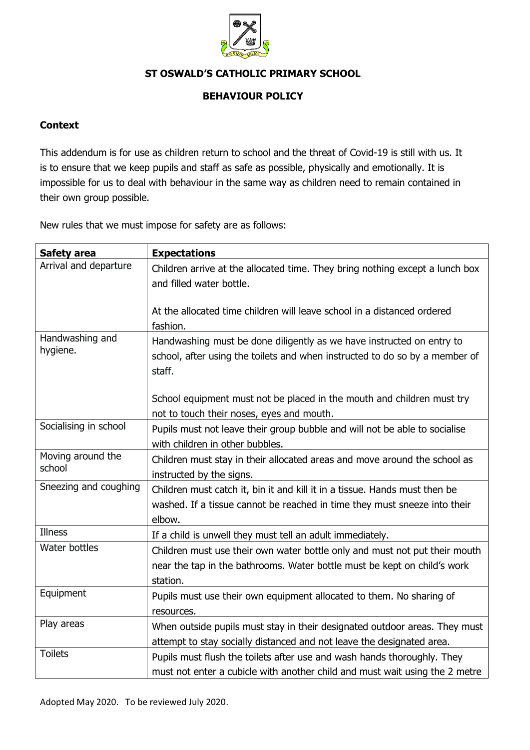

## **ST OSWALD'S CATHOLIC PRIMARY SCHOOL**

## **BEHAVIOUR POLICY**

## **Context**

This addendum is for use as children return to school and the threat of Covid-19 is still with us. It is to ensure that we keep pupils and staff as safe as possible, physically and emotionally. It is impossible for us to deal with behaviour in the same way as children need to remain contained in their own group possible.

New rules that we must impose for safety are as follows:

| <b>Safety area</b>          | <b>Expectations</b>                                                                 |
|-----------------------------|-------------------------------------------------------------------------------------|
| Arrival and departure       | Children arrive at the allocated time. They bring nothing except a lunch box        |
|                             | and filled water bottle.                                                            |
|                             |                                                                                     |
|                             | At the allocated time children will leave school in a distanced ordered<br>fashion. |
| Handwashing and<br>hygiene. | Handwashing must be done diligently as we have instructed on entry to               |
|                             | school, after using the toilets and when instructed to do so by a member of         |
|                             | staff.                                                                              |
|                             |                                                                                     |
|                             | School equipment must not be placed in the mouth and children must try              |
|                             | not to touch their noses, eyes and mouth.                                           |
| Socialising in school       | Pupils must not leave their group bubble and will not be able to socialise          |
|                             | with children in other bubbles.                                                     |
| Moving around the<br>school | Children must stay in their allocated areas and move around the school as           |
|                             | instructed by the signs.                                                            |
| Sneezing and coughing       | Children must catch it, bin it and kill it in a tissue. Hands must then be          |
|                             | washed. If a tissue cannot be reached in time they must sneeze into their           |
| <b>Illness</b>              | elbow.                                                                              |
|                             | If a child is unwell they must tell an adult immediately.                           |
| Water bottles               | Children must use their own water bottle only and must not put their mouth          |
|                             | near the tap in the bathrooms. Water bottle must be kept on child's work            |
|                             | station.                                                                            |
| Equipment                   | Pupils must use their own equipment allocated to them. No sharing of                |
|                             | resources.                                                                          |
| Play areas                  | When outside pupils must stay in their designated outdoor areas. They must          |
|                             | attempt to stay socially distanced and not leave the designated area.               |
| <b>Toilets</b>              | Pupils must flush the toilets after use and wash hands thoroughly. They             |
|                             | must not enter a cubicle with another child and must wait using the 2 metre         |